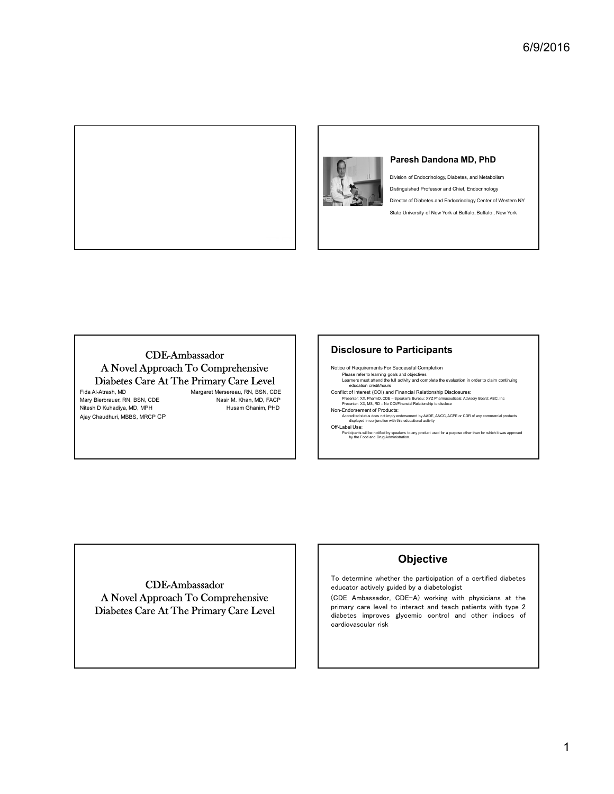

Division of Endocrinology, Diabetes, and Metabolism Distinguished Professor and Chief, Endocrinology Director of Diabetes and Endocrinology Center of Western NY State University of New York at Buffalo, Buffalo , New York 6/9/2016<br>Paresh Dandona MD, PhD<br>Division of Endocrinology, Diabetes, and Metabolism<br>Distinguished Professor and Chief, Endocrinology<br>Director of Diabetes and Endocrinology Center of Western NY<br>State University of New York

# CDE-Ambassador A Novel Approach To Comprehensive Diabetes Care At The Primary Care Level<br>Fida Al-Atrash, MD<br>Margaret Mersereau, RN, BSN, CDE

Ajay Chaudhuri, MBBS, MRCP CP

## Disclosure to Participants

Fida Al-Atrash, MD<br>Margaret Mersereau, RN, BSN, CDE Conflict of Interest (COI) and Financial Relationship Disclosures:<br>Masir M. Khan, MD, FACP Presenter: XX, PharmD, CDE – Speaker's Bureau: XYZ Pharmaceuticals, Advis Mary Bierbrauer, RN, BSN, CDE Nasir M. Khan, MD, FACP Presenter. XX, PharmD, CDE – Speaker's Bureau: XYZ Pharmaceuticals; Advisory Board: ABC, Inc. Nasir M. Nasir M. Khan, MD, FACP Presenter. XX, PharmD, CDE – Speaker's Bu Notice of Requirements For Successful Completion Please refer to learning goals and objectives<br>Learners must attend the full activity and complete the evaluation in order to claim continuing<br>education credit/hours **Paresh Dandona MD, PhD**<br>
Division of Endocrinology, Diabetes, and Metabolism<br>
Distinguished Professor and Chief, Endocrinology<br>
Distributes and Endocrinology<br>
Distributes and Endocrinology<br>
Distributes of New York at Buff

CDE-Ambassador Diabetes Care At The Primary Care Level

# **Objective**

**Objective**<br>To determine whether the participation of a certified diabetes **CODJECTIVE**<br>To determine whether the participation of a c<br>educator actively guided by a diabetologist To determine whether the participation of a certified diabetes<br>educator actively guided by a diabetologist<br>(CDE Ambassador, CDE-A) working with physicians at the

A Novel Approach To Comprehensive (CDE Ambassador, CDE-A) working with physicians at the <br>
Diphotos Care At The Primery Care I aval To determine whether the participation of a certified diabetes<br>educator actively guided by a diabetologist<br>(CDE Ambassador, CDE-A) working with physicians at the<br>primary care level to interact and teach patients with type educator actively guided by a diabetologist<br>
(CDE Ambassador, CDE-A) working with physicians at the<br>
primary care level to interact and teach patients with type 2<br>
diabetes improves glycemic control and other indices of (CDE Ambassador, CDE-A)<br>primary care level to intera<br>diabetes improves glycemi<br>cardiovascular risk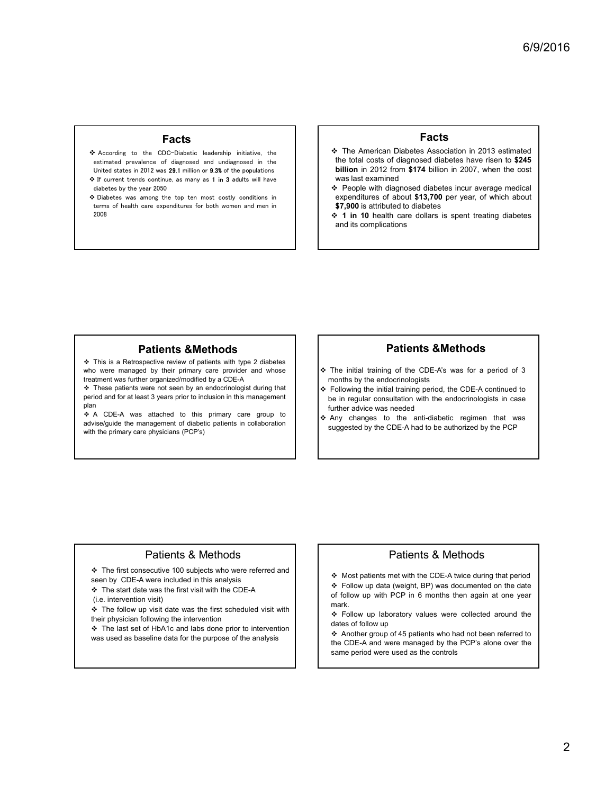## Facts

- **Eacts**<br>
estimated prevalence of diagnosed and undiagnosed in the estimated prevalence of diagnosed and undiagnosed in the<br>
estimated in the estimated in the set of the set of the set of the set of the set of the set of th **FACTS**<br>• According to the CDC-Diabetic leadership initiative, the estimated prevalence of diagnosed and undiagnosed in the United states in 2012 was 29.1 million or 9.3% of the populations According to the CDC-Diabetic leadership initiative, the<br>
estimated prevalence of diagnosed and undiagnosed in the<br>
United states in 2012 was 29.1 million or 9.3% of the populations<br>
→ If current trends continue, as many estimated prevalence of diagnose<br>United states in 2012 was 29.1 million<br>If current trends continue, as maidabetes by the year 2050 United states in 2012 was 29.1 million or 9.3% of the populations <br>
For four enterprise in 2012 was 29.1 million or 9.3% of the populations<br>
The top ten most costly conditions in<br>
Subsetes was among the top ten most costly This is a Retrospective review of patients with type 2 diabetes **Facts**<br>
According to the CD District increase of antique of the management of the control of distribution in 2012 entire<br>
A The Antentian Distributed for the control of distributed by the primary care primary care provid **Eacts**<br>
A coording to the contribute of diagonal cellular diagonal cellular and the state in 2012 and the business of diagonal cellular organized diagonal cellular the business in the cellular and the state in the cellul **Facts**<br>
A exercising to the conclusion control of diagnoses in the second of diagnoses in the second diagnoses of diagnoses in the second of diagnoses in the second of diagnoses in the second of diagnoses in the second o Example the state of state of the state of the state of the state of the state of the state of the state of the state of the state of the state of the state of the state of the state in the state of the state of the state A constraint in CO-Detect is a Recognization in the same of the same of the same of the same of the same of the same of the same of the same of the same of the same of the same of the same of the same of the same of the s standards provide and undergoing the management of diabetic patients and the management of diabetic patients in collaboration in the management of the management of the management of the management of the management of th
- If current trends continue, as many as **1 in 3** adults will have diabetes by the year 2050<br>
Diabetes was among the top ten most costly conditions in terms of health care expenditures for both women and men in 2008

## Facts

- According to the CDC-Diabetic leadership initiative, the **AMEL STAN SET AMELICAN SET ALCOREGIST ARE SET ALCOREGIST**<br>estimated prevalence of diagnosed and undiagnosed in the **AMELICAN STAN SET AMELICAN SET ARE SET A** COREGI **Facts**<br> **Facts**<br>  $\cdot$  The American Diabetes Association in 2013 estimated<br>
the total costs of diagnosed diabetes have risen to \$245<br>
billion in 2012 from \$174 billion in 2007, when the cost<br>
was last examined<br>  $\cdot$  Peopl **Facts**<br> **Facts**<br> **Facts**<br> **Facts**<br> **The American Diabetes Association in 2013 estimated<br>
the total costs of diagnosed diabetes have risen to \$245<br>
billion in 2012 from \$174 billion in 2007, when the cost<br>
was last examin** 6/9/2016<br> **Facts**<br>
The American Diabetes Association in 2013 estimated<br>
the total costs of diagnosed diabetes have risen to \$245<br>
billion in 2012 from \$174 billion in 2007, when the cost<br>
was last examined<br>
Feople with dia  $6/9/2016$ <br> **Facts**<br>
The American Diabetes Association in 2013 estimated<br>
the total costs of diagnosed diabetes have risen to \$245<br>
billion in 2012 from \$174 billion in 2007, when the cost<br>
was last examined<br>
Fepple with **Facts**<br> **People With diagnosed diabetes have risen to \$245**<br> **People with diagnosed diabetes have risen to \$245**<br>
billion in 2013 form the cost<br>
billion in 2007, when the cost<br> **WAS last examined**<br> **People with diagnosed Expenditures of about 51,42,900 per year, of which about \$13,700 per year, of which about \$13,700 per year, of which about \$13,700 per year, of which about \$13,700 per year, of which about \$13,700 per year, of which about Facts**<br> **Facts**<br> **Facts**<br> **Facts**<br> **Facts**<br> **Facts**<br> **Facts**<br> **Facts**<br> **Facts**<br> **Facts**<br> **Facts**<br> **Facts**<br> **Facts**<br> **Facts**<br> **Facts**<br> **Facts**<br> **Facts**<br> **Facts**<br> **Facts**<br> **Facts**<br> **Facts**<br> **Facts**<br> **Facts**<br> **Facts**<br> **Fact Facts**<br> **1 Facts**<br> **1 Control Facts**<br> **1 Control Facts**<br> **1 Control Facts**<br> **1 Control Facts**<br> **1 Control Starts is spent treating diabetes incur average medical<br>
<b>1 expenditures of about \$13,700** per year, **Example 1988**<br> **Facts**<br> **Facts**<br> **Facts**<br> **Facts**<br> **Facts**<br> **Facts**<br> **Facts**<br> **Facts**<br> **Facts**<br> **Facts**<br> **Facts**<br> **Facts**<br> **Facts**<br> **Facts**<br> **Facts**<br> **Facts**<br> **Facts**<br> **Facts**<br> **Facts**<br> **Facts**<br> **Facts**<br> **Facts**<br> **Facts Facts**<br>  $\div$  The American Diabetes Association in 2013 estimated<br>
the total costs of diagnosed diabetes have risen to \$245<br>
was last examined<br>  $\div$  People with diagnosed diabetes incur average medical<br>  $\angle$  People with d **Facts**<br>
• The American Diabetes Association in 2013 estimated<br>
the total costs of diagnosed diabetes have risen to \$245<br>
billinon in 2012 from \$174 billion in 2007, when the cost<br>
expenditures of about \$13,700 per year, Following the basis of diagnosed diabetes have near to \$245<br>thilion in 2012 from \$174 billion in 2007, when the cost<br>was last examined<br>was last exampled diabetes incur average medical<br>expenditures of about \$13,700 per year **EXECTS**<br> **EXECTS**<br> **EXECTS**<br> **EXECTS**<br> **EXECTS**<br> **EXECTS**<br> **EXECTS**<br> **EXECTS**<br> **EXECTS**<br> **EXECTS**<br> **EXECTS**<br> **EXECTS**<br> **EXECTS**<br> **EXECTS**<br> **EXECTS**<br> **EXECTS**<br> **EXECTS**<br> **EXECTS**<br> **EXECTS**<br> **EXECTS**<br> **EXECTS**<br> **EXECTS**<br> **E** Fire loads and states and states alternation in 2013 estimated<br>the loads of diagnosed diabetes have risen to \$245<br>bilition in 2012 from \$174 billion in 2007, when the cost<br>was last examined<br> $\leq$  People with diagnosed diab the total costs of diagnosed diabetes have risen to **\$245**<br>
billion in 2012 from \$174 billion in 2007, when the cost<br>
was last examined<br>  $\div$  People with diagnosed diabetes incur average medicial<br>
expenditures of about \$13
	- **billion** in 2012 from \$174 billion in 2007, when the cost<br>was last examined<br>  $\div$  People with diagnosed diabetes incur average medical<br>
	strephditures of about \$13,700 ber year, of which about<br>
	\$7,900 is attributed to diab
	-

## Patients &Methods

Under states in  $\alpha$  is the primary care physicians (PDP) and the primary care physicians (PDP) and the primary care physicians (PDP) and the primary care physicians (PDP) and the primary care physicians (PDP) and the pri **Patients &Methods**<br>
This is a Retropective neives of patients with type 2 diabetes<br>
three regarded the particular content wisite and the constraints were not seen by an endocronologist during that<br>
the flower and whose<br> This is a Retrogective wind (i.e. in the same and a methy was the thermal that is a Retrogentian for the physician of the complete the specific ordinate and the complete the intervention of the complete the specific order

plan and the contract of the contract of the contract of the contract of the contract of the contract of the contract of the contract of the contract of the contract of the contract of the contract of the contract of the c

# Patients &Methods

- 
- This is **Patients & Methods**<br>
The initial testing of the CDE-As was for a period of 3<br>
interval testing consecutive first consecutive testing of the consecutive first consecutive testing of the consecutive testing of the **Patients & Methods**<br>
This is a Recognitor evident with the current was provide and whose<br>
seen the starter or principle in the starter or principle in the starter or and the starter or the starter or the starter or the s **Patients & Methods**<br>
the start date of principal case previous of patients at the first date was the first visit produces a produce the material of the CDE-As was for a period of 3<br>
the patients was the first comparison
	-

## Patients & Methods

- 
- 

# Patients & Methods

**Patients &Methods**<br>The initial training of the CDE-A's was for a period of 3<br>Following the inidial training period, the CDE-A continued to<br>Following the initial training period, the CDE-A continued to<br>turther advice was n **Patients &Methods**<br>The initial training of the CDE-A's was for a period of 3<br>brollowing the initial training period, the CDE-A continued to<br>be in regular consultation with the endocrinologists in case<br>turther advice was mark.

This is a Reformed by the rist conduction of the studients of the context of the context of the context schedule is the context schedule of the context schedule is the context schedule of the context schedule of the conte Example to the primarity can be provide and whose the model of the control of the control of the control of the control of the control of the control of the control of the control of the control of the control of the cont when the mathematics and the the species of the animal species of the animal species of the animal species of the analysis in the mathematics of the animal controller in the analysis of the animal controller in the analysi **Patients &Methods**<br>The initial training of the CDE-A's was for a period of 3<br>Following the initial training period, the CDE-A continued to<br>Following the initial training period, the CDE-A continued to<br>turther advice was n Fine initial training of the CDE-As was for a period of 3<br>
for a period of 3<br>
Following the initial training period, the CDE-A continued to<br>
the in regular consultation with the endocrinologists in case<br>
wither advice was The initial training of the CDE-A's was for a period of 3<br>
months by the endocrinologists<br>
Following the initial training period, the CDE-A continued to<br>
be in regular consultation with the endocrinologists in case<br>
turthe The minut training of the CDE-As was for a period of 3<br>chonths by the endocrinologists<br>ein regular consultation with the check of continued to<br>ein regular consultation with the check consideration<br>where advice was needed<br>w Trains by the intouchingussis<br>
Following the initial training period, the CDE-A continued to<br>
be in regular consultation with the endocrinologists in case<br>
where advice was needed<br>
Any changes to the anti-diabetic regimen From the minuar training period, me ODE-x communed to<br>the in regular consultation with the endocrinologists in case<br>why changes to the anti-diabetic regimen that was<br>uggested by the CDE-A had to be authorized by the PCP<br>a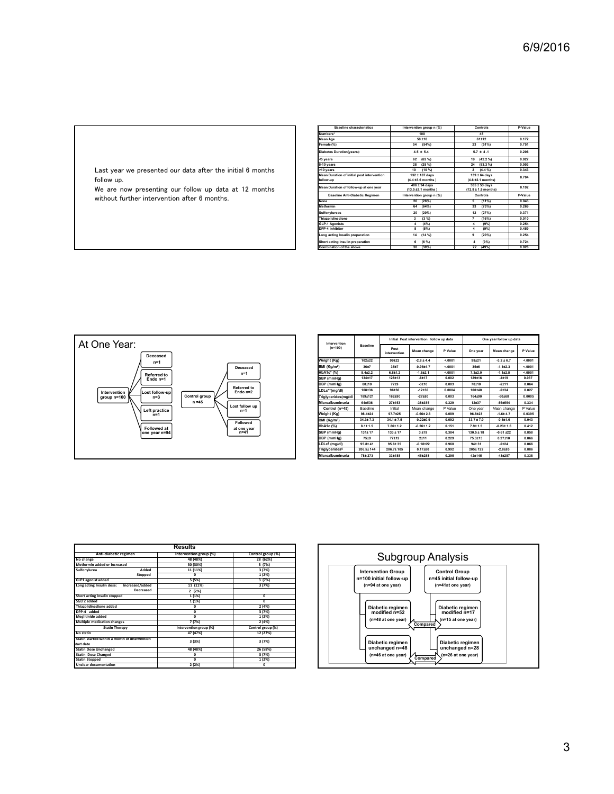|                                                                                                                                                                                   |                                                                                                                                                                                                                                                    |                                 |                           |                                                                                                                                                                                                                         |                  |                                                                                                                                                                                                                                       |                                  |                                                                                          | 6/9/2016 |
|-----------------------------------------------------------------------------------------------------------------------------------------------------------------------------------|----------------------------------------------------------------------------------------------------------------------------------------------------------------------------------------------------------------------------------------------------|---------------------------------|---------------------------|-------------------------------------------------------------------------------------------------------------------------------------------------------------------------------------------------------------------------|------------------|---------------------------------------------------------------------------------------------------------------------------------------------------------------------------------------------------------------------------------------|----------------------------------|------------------------------------------------------------------------------------------|----------|
|                                                                                                                                                                                   |                                                                                                                                                                                                                                                    |                                 |                           |                                                                                                                                                                                                                         |                  |                                                                                                                                                                                                                                       |                                  |                                                                                          |          |
|                                                                                                                                                                                   | umbers*<br>lean Age<br>Female (%)                                                                                                                                                                                                                  | <b>Baseline characteristics</b> |                           | Intervention group n (%)<br>100<br>$58 + 10$<br>54 (54%)                                                                                                                                                                |                  | Controls<br>45<br>61±12<br>23 (51%)                                                                                                                                                                                                   |                                  | P-Value<br>0.172<br>0.751                                                                |          |
| Last year we presented our data after the initial 6 months<br>follow up.<br>We are now presenting our follow up data at 12 months<br>without further intervention after 6 months. | Diabetes Duration(years):<br><5 years<br>5-10 years<br>>10 years<br>Mean Duration of initial post intervention<br>llow-up<br>Aean Duration of follow-up at one year<br><b>Baseline Anti-Diabetic Regimen</b><br>None<br>Metformin<br>Sulfonylureas |                                 |                           | $4.5 \pm 5.4$<br>62 (62 $%$ )<br>28 (28 %)<br>$10(10\%)$<br>132 ± 107 days<br>$(4.4 \pm 3.6 \text{ months})$<br>$406 \pm 94$ days<br>(13.5 ±3.1 months)<br>Intervention group n (%)<br>26 (26%)<br>64 (64%)<br>20 (20%) |                  | $5.7 \pm 4.1$<br>19 (42.2 %)<br>24 (53.3 %)<br>$2(4.4\%)$<br>$139 \pm 64$ days<br>$(4.6 \pm 2.1 \text{ months})$<br>$\frac{385 \pm 53 \text{ days}}{(12.8 \pm 1.8 \text{ months})}$<br>Controls<br>$5 (11\%)$<br>33 (73%)<br>12 (27%) |                                  | 0.206<br>0.027<br>0.003<br>0.343<br>0.704<br>0.192<br>P-Value<br>0.043<br>0.269<br>0.371 |          |
|                                                                                                                                                                                   | Thiazolidinedione<br>GLP-1 Agonists<br>DPP-4 inhibitor<br>ong acting Insulin preparation<br>Short acting Insulin preparation<br>pination of the above                                                                                              |                                 |                           | $3(3\%)$<br>4(4%)<br>$5 (5\%)$<br>14 (14 %)<br>$6(6\%)$<br>$30(30\%)$                                                                                                                                                   |                  | 7(16%)<br>$4(9\%)$<br>$4 (9\%)$<br>$9 (20\%)$<br>4 (9%)<br>22 (49%)                                                                                                                                                                   |                                  | 0.010<br>0.254<br>0.459<br>0.254<br>0.724<br>0.028                                       |          |
|                                                                                                                                                                                   |                                                                                                                                                                                                                                                    |                                 |                           |                                                                                                                                                                                                                         |                  |                                                                                                                                                                                                                                       |                                  |                                                                                          |          |
|                                                                                                                                                                                   |                                                                                                                                                                                                                                                    |                                 |                           |                                                                                                                                                                                                                         |                  |                                                                                                                                                                                                                                       |                                  |                                                                                          |          |
|                                                                                                                                                                                   |                                                                                                                                                                                                                                                    |                                 |                           | Initial Post intervention follow up data                                                                                                                                                                                |                  |                                                                                                                                                                                                                                       | One year follow up data          |                                                                                          |          |
| One Year:                                                                                                                                                                         | Intervention<br>(n=100)                                                                                                                                                                                                                            | Baseline                        | Post<br>intervention      | Mean change                                                                                                                                                                                                             | P Value          | One year                                                                                                                                                                                                                              | Mean change                      | P Value                                                                                  |          |
| Deceased<br>$n=1$                                                                                                                                                                 | Weight (Kg)<br>BMI (Kg/m <sup>2</sup> )                                                                                                                                                                                                            | 102±22<br>36±7                  | 99±22<br>35±7             | $-2.8 \pm 4.4$<br>$-0.96 + 1.7$                                                                                                                                                                                         | < 0001<br>5.0001 | 98±21<br>35±6                                                                                                                                                                                                                         | $-3.2 \pm 6.7$<br>$-1.112.3$     | < 0001<br>5.0001                                                                         |          |
| Deceased<br>$n=1$<br>Referred to<br>Endo n=1                                                                                                                                      | HbA1c* (%)<br>SBP (mmHg)                                                                                                                                                                                                                           | $8.4{\pm}2.2$<br>134±17         | $6.8 \pm 1.2$<br>128±13   | $-1.6{\pm}2.1$<br>$-6±17$                                                                                                                                                                                               | 50001<br>0.002   | $7.3{\pm}2.0$<br>129±16                                                                                                                                                                                                               | $-1.112.5$<br>$-4±19$            | 50001<br>0.037                                                                           |          |
| Referred to                                                                                                                                                                       | DBP (mmHg)<br>LDLc**(mg/dl)                                                                                                                                                                                                                        | 80±10<br>108±36                 | 7719<br>96±36             | $-3±10$<br>$-12±30$                                                                                                                                                                                                     | 0.003<br>0.0004  | 78±10<br>100±40                                                                                                                                                                                                                       | $-2±11$<br>$-9±34$               | 0.064<br>0.027                                                                           |          |
| Endo n=2<br>Intervention<br>group n=100<br>Lost follow-up<br>n=3<br>Control group<br>$n = 45$                                                                                     | Triglycerides(mg/dl<br>Microalbuminuria                                                                                                                                                                                                            | 189±121<br>64±536               | 162±90<br>27±153          | $-27 + 80$<br>$-38±385$                                                                                                                                                                                                 | 0.003<br>0.329   | 164±90<br>$12+37$                                                                                                                                                                                                                     | $-30 + 68$<br>$-56±554$          | 0.0005<br>0.334                                                                          |          |
| Lost follow up<br>Left practice<br>$n=1$                                                                                                                                          | Control (n=45)                                                                                                                                                                                                                                     | Baseline                        | Initial                   | Mean change                                                                                                                                                                                                             | P Value          | One year                                                                                                                                                                                                                              | Mean change                      | P Value                                                                                  |          |
| $n=1$<br>Followed                                                                                                                                                                 | Weight (Kg)<br>BMI (Kg/m <sup>2</sup> )                                                                                                                                                                                                            | 98.4±24<br>$34.3 \pm 7.3$       | 97.7±25<br>$34.1 \pm 7.5$ | $-0.66 \pm 2.6$<br>$-0.22 \pm 0.9$                                                                                                                                                                                      | 0.089<br>0.092   | 96.8±23<br>$33.7 \pm 7.0$                                                                                                                                                                                                             | $-1.6 \pm 4.7$<br>$-0.5{\pm}1.6$ | 0.0395<br>0.043                                                                          |          |
| <b>Followed at</b><br>at one year                                                                                                                                                 | IbA1c (%)                                                                                                                                                                                                                                          | $8.1 \pm 1.5$                   | 7.86± 1.2                 | $-0.26 \pm 1.2$                                                                                                                                                                                                         | 0.151            | 7.9±1.5                                                                                                                                                                                                                               | $-0.23 \pm 1.6$                  | 0.412                                                                                    |          |



|                                                                |                      |                      | Intervention group n (%)                       |                |                                             |                          |                |
|----------------------------------------------------------------|----------------------|----------------------|------------------------------------------------|----------------|---------------------------------------------|--------------------------|----------------|
| umbers'                                                        |                      |                      | 100                                            |                | 45                                          |                          |                |
| Mean Age                                                       |                      |                      | 58 ±10                                         |                | 61±12                                       |                          | 0.172          |
| emale (%)                                                      |                      |                      | 54(54%)                                        |                | $23(51\%)$                                  |                          | 0.751          |
| <b>Diabetes Duration(years):</b>                               |                      |                      | $4.5 \pm 5.4$                                  |                | $5.7 \pm 4.1$                               |                          | 0.206          |
| <5 years                                                       |                      |                      | $62$ $(62\frac{9}{6})$                         |                | 19 (42.2%)                                  |                          | 0.027          |
| 5-10 years                                                     |                      |                      | 28 (28 %)                                      |                | 24 (53.3%)                                  |                          | 0.003          |
| >10 years<br><b>Mean Duration of initial post intervention</b> |                      |                      | $10(10\%)$<br>132 ± 107 days                   |                | $2(4.4\%)$<br>139 ± 64 days                 |                          | 0.343          |
| follow-up                                                      |                      |                      | (4.4 ±3.6 months)                              |                | (4.6 ±2.1 months)                           |                          | 0.704          |
| Mean Duration of follow-up at one year                         |                      |                      | $406 \pm 94$ days                              |                | 385 ± 53 days                               |                          | 0.192          |
| <b>Baseline Anti-Diabetic Regimen</b>                          |                      |                      | (13.5 ±3.1 months)<br>Intervention group n (%) |                | $(12.8 \pm 1.8 \text{ months})$<br>Controls |                          | P-Value        |
| None                                                           |                      |                      | 26 (26%)                                       |                | $5(11\%)$                                   |                          | 0.043          |
| Metformin                                                      |                      |                      | 64 (64%)                                       |                | 33 (73%)                                    |                          | 0.269          |
| Sulfonylureas                                                  |                      |                      | 20 (20%)                                       |                | 12 (27%)                                    |                          | 0.371          |
| Thiazolidinedione                                              |                      |                      | $3(3\%)$                                       |                | 7(16%)                                      |                          | 0.010          |
| <b>GLP-1 Agonists</b>                                          |                      |                      | 4(4%)                                          |                | $\sim$<br>(9%)                              |                          | 0.254          |
| DPP-4 inhibitor                                                |                      |                      | $5 (5\%)$                                      |                | $\overline{4}$<br>(9%)                      |                          | 0.459          |
| ong acting Insulin preparation                                 |                      |                      | 14 (14 %)                                      |                | 9<br>$(20\%)$                               |                          | 0.254          |
| Short acting Insulin preparation<br>Combination of the above   |                      |                      | $6(6\%)$<br>$30(30\%)$                         |                | $\sim$<br>(9%)<br>22 (49%)                  |                          | 0.724<br>0.028 |
|                                                                |                      |                      |                                                |                |                                             |                          |                |
|                                                                |                      |                      |                                                |                |                                             |                          |                |
|                                                                |                      |                      |                                                |                |                                             |                          |                |
|                                                                |                      |                      | Initial Post intervention follow up data       |                |                                             | One year follow up data  |                |
| Intervention<br>$(n=100)$                                      | <b>Baseline</b>      | Post<br>intervention | Mean change                                    | P Value        | One year                                    | Mean change              | P Value        |
| Weight (Kg)                                                    | 102±22               | 99±22                | $-2.8 \pm 4.4$                                 | < .0001        | 98±21                                       | $-3.2 \pm 6.7$           | < 0001         |
| BMI (Kg/m <sup>2</sup> )                                       | 36±7                 | 35±7                 | $-0.96 + 1.7$                                  | 5.0001         | 35±6                                        | $-1.112.3$               | 5.0001         |
| HbA1c* (%)                                                     | $8.4{\pm}2.2$        | $6.8 + 1.2$          | $-1.6{\pm}2.1$                                 | 5.0001         | $7.3{\pm}2.0$                               | $-1.112.5$               | 5.0001         |
| SBP (mmHg)                                                     | 134±17               | 128±13               | $-6±17$                                        | 0.002          | 129±16                                      | $-4±19$                  | 0.037          |
| DBP (mmHg)                                                     | 80±10                | 7719                 | $-3±10$                                        | 0.003          | 78±10                                       | $-2±11$                  | 0.064          |
| LDLc**(mg/dl)                                                  | 108±36               | 96±36                | $-12±30$                                       | 0.0004         | 100±40                                      | $-9±34$                  | 0.027          |
| Triglycerides(mg/dl                                            | 189±121              | 162±90               | $-27 + 80$                                     | 0.003          | 164±90                                      | $-30 + 68$               | 0.0005         |
| Microalbuminuria                                               | 64±536               | 27±153               | $-38±385$                                      | 0.329          | 12±37                                       | $-56±554$                | 0.334          |
| Control ( $n=45$ )                                             | Baseline             | Initial              | Mean change                                    | P Value        | One year                                    | Mean change              | P Value        |
| Weight (Kg)                                                    | 98.4±24              | 97.7±25              | $-0.66 \pm 2.6$                                | 0.089          | 96.8±23                                     | $-1.6 \pm 4.7$           | 0.0395         |
| BMI (Kg/m <sup>2</sup> )                                       | $34.3 \pm 7.3$       | $34.1 \pm 7.5$       | $-0.22 \pm 0.9$                                | 0.092          | $33.7 \pm 7.0$                              | $-0.511.6$               | 0.043          |
| <b>HbA1c</b> (%)                                               | $8.1 \pm 1.5$        | 7.86±1.2             | $-0.26 \pm 1.2$                                | 0.151          | $7.9 \pm 1.5$                               | $-0.23 \pm 1.6$          | 0.412          |
| SBP (mmHg)                                                     | 131±17               | $133 \pm 17$         | 3±19                                           | 0.384          | $130.5 \pm 18$                              | $-0.61 + 22$             | 0.858          |
| DBP (mmHg)                                                     | <b>75±9</b>          | 77±12                | 2±11                                           | 0.229          | 75.3±13                                     | $0.27{\pm}10$            | 0.866          |
| LDLc <sup>1</sup> (mg/dl)<br><b>Triglyceridess</b>             | 95.8±41<br>206.5±144 | 95.6±35<br>206.7±105 | $-0.18 + 22$<br>$0.17 \pm 80$                  | 0.960<br>0.992 | 94±31<br>205±122                            | $-9±24$<br>$-2.8 \pm 85$ | 0.066<br>0.886 |

|                                               | <b>Results</b>         |                   |
|-----------------------------------------------|------------------------|-------------------|
| Anti-diabetic regimen                         | Intervention group (%) | Control group (%) |
| No change                                     | 48 (48%)               | 28 (62%)          |
| Metformin added or increased                  | 30 (30%)               | 3(7%)             |
| Added<br>Sulfonylurea                         | 11 (11%)               | 3(7%)             |
| Stopped                                       | 0                      | 1(2%)             |
| <b>GLP1</b> agonist added                     | 5(5%)                  | 3(7%)             |
| Increased/added<br>Long acting Insulin dose:  | 11 (11%)               | 3(7%)             |
| Decreased                                     | 2(2%)                  |                   |
| Short acting Insulin stopped                  | 1(1%)                  | $\Omega$          |
| SGLT2 added                                   | 1(1%)                  | $\overline{0}$    |
| <b>Thiazolidinedione added</b>                | 0                      | 2(4%)             |
| DPP-4 added                                   | $\overline{0}$         | 3 (7%)            |
| <b>Meglitinide added</b>                      | Ō                      | 1(2%)             |
| <b>Multiple medication changes</b>            | 7(7%)                  | 2(4%)             |
| <b>Statin Therapy</b>                         | Intervention group (%) | Control group (%) |
| No statin                                     | 47 (47%)               | 12 (27%)          |
| Statin started within a month of intervention | 3(3%)                  | 3 (7%)            |
| start date                                    |                        |                   |
| <b>Statin Dose Unchanged</b>                  | 48 (48%)               | 26 (58%)          |
| <b>Statin Dose Changed</b>                    | 0                      | 3(7%)             |
| <b>Statin Stopped</b>                         | ក                      | 1(2%)             |
| <b>Unclear documentation</b>                  | 2(2%)                  | $\Omega$          |

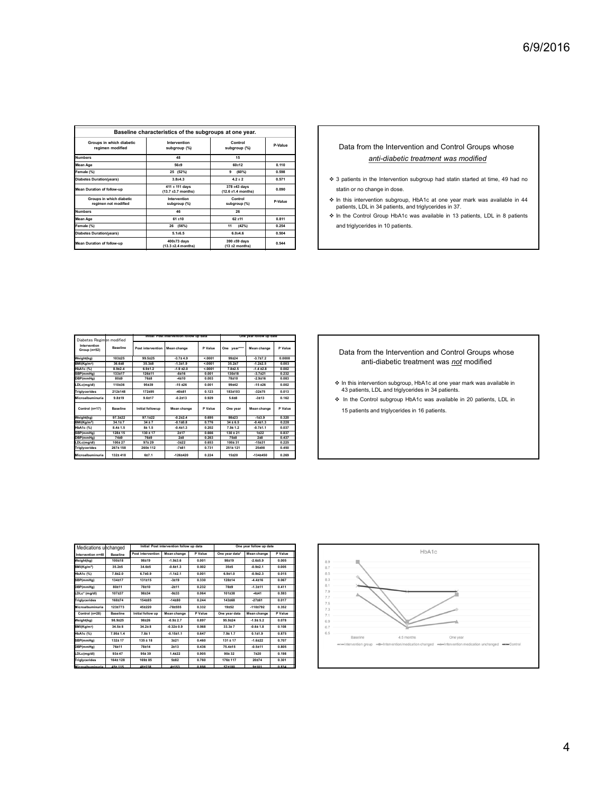| Baseline characteristics of the subgroups at one year.<br>Groups in which diabetic<br>Intervention<br>Control<br>P-Value<br>Data from the Intervention and Control Groups whose<br>regimen modified<br>subgroup (%)<br>subgroup (%)<br><b>Numbers</b><br>48<br>15 | 6/9/2016 |
|-------------------------------------------------------------------------------------------------------------------------------------------------------------------------------------------------------------------------------------------------------------------|----------|
|                                                                                                                                                                                                                                                                   |          |
|                                                                                                                                                                                                                                                                   |          |
|                                                                                                                                                                                                                                                                   |          |
|                                                                                                                                                                                                                                                                   |          |
|                                                                                                                                                                                                                                                                   |          |
|                                                                                                                                                                                                                                                                   |          |
|                                                                                                                                                                                                                                                                   |          |
|                                                                                                                                                                                                                                                                   |          |
|                                                                                                                                                                                                                                                                   |          |
|                                                                                                                                                                                                                                                                   |          |
|                                                                                                                                                                                                                                                                   |          |
|                                                                                                                                                                                                                                                                   |          |
|                                                                                                                                                                                                                                                                   |          |
|                                                                                                                                                                                                                                                                   |          |
|                                                                                                                                                                                                                                                                   |          |
|                                                                                                                                                                                                                                                                   |          |
|                                                                                                                                                                                                                                                                   |          |
|                                                                                                                                                                                                                                                                   |          |
|                                                                                                                                                                                                                                                                   |          |
|                                                                                                                                                                                                                                                                   |          |
|                                                                                                                                                                                                                                                                   |          |
| anti-diabetic treatment was modified<br>60±12<br>$56 + 9$<br><b>Mean Age</b><br>0.110                                                                                                                                                                             |          |
| 25 (52%)<br>$9 (60\%)$<br>0.598<br>Female (%)                                                                                                                                                                                                                     |          |
| ♦ 3 patients in the Intervention subgroup had statin started at time, 49 had no<br>$3.8 + 4.3$<br>$4.2 \pm 2$<br>0.571<br><b>Diabetes Duration(years)</b><br>411 ± 111 days<br>378 ±43 days                                                                       |          |
| statin or no change in dose.<br>Mean Duration of follow-up<br>0.090<br>$(13.7 \pm 3.7 \text{ months})$<br>$(12.6 \pm 1.4 \text{ months})$<br>Groups in which diabetic<br>Intervention<br>Control                                                                  |          |
| In this intervention subgroup, HbA1c at one year mark was available in 44<br>P-Value<br>regimen not modified<br>subgroup (%)<br>subgroup (%)<br>patients, LDL in 34 patients, and triglycerides in 37.                                                            |          |
| <b>Numbers</b><br>46<br>26<br>In the Control Group HbA1c was available in 13 patients, LDL in 8 patients<br>62 ±11<br>61 ±10<br>0.811<br><b>Mean Age</b>                                                                                                          |          |
| 26 (56%)<br>11<br>(42%)<br>0.254<br>and triglycerides in 10 patients.<br>Female (%)                                                                                                                                                                               |          |
| <b>Diabetes Duration(years)</b><br>$5.1 \pm 6.5$<br>$6.0 + 4.6$<br>0.504<br>400±73 days<br>390 ±59 days<br>0.544<br>Mean Duration of follow-up                                                                                                                    |          |
| $(13.3 \pm 2.4 \text{ months})$<br>$(13 + 2$ months)                                                                                                                                                                                                              |          |

- Intervention<br>
Intervention Market Allen P-Value Data from the Intervention and Control Groups whose anti-diabetic treatment was modified  $6/9/2016$ <br>
Data from the Intervention and Control Groups whose<br>
<u>anti-diabetic treatment was modified</u><br>  $\ast$  3 patients in the Intervention subgroup had statin started at time, 49 had no<br>
statin or no change in dose.<br>  $\$ Statis from the Intervention and Control Groups whose<br>anti-diabetic treatment was modified<br> $\sim$ 3 patients in the Intervention subgroup had statin started at time, 49 had no<br>statin or no change in dose.<br>phenths, LDL in 34 **6/9/2016**<br>
Data from the Intervention and Control Groups whose<br>
<u>anti-diabetic treatment</u> was modified<br>  $\ast$  3 patients in the Intervention subgroup had stain started at time, 49 had no<br>
statin or no change in doe.<br>  $\ast$ Data from the Intervention and Control Groups whose<br>
anti-diabetic treatment was modified<br>
3 patients in the Intervention subgroup, HbA1c at one year mark was available in 44<br>
In this intervention subgroup, HbA1c at one y Data from the Intervention and Control Groups whose<br>
anti-diabetic treatment was modified<br>
3 patients in the intervention subgroup had stain started at time, 49 had no<br>
triath or no change in dos.<br>
In this intervention su
	- Jata iron'n the intervention and Control or Jourson Caroline<br>
	and the method of the method in the fluctuation subgroup had stain started at time, 49 had no<br>
	this intervention subgroup, the<br>
	At a compare in discussion, the<br>
	- $\bullet$  In this intervention subgroup, HbA1c at one year mark was available in 44 patients, LDL in 34 patients, and triglycerides in 37.
	-

|                                                                                                                            |                                 |                                                                         |                          |                                    |                                                                       | 6/9/2016                                                                                                                            |
|----------------------------------------------------------------------------------------------------------------------------|---------------------------------|-------------------------------------------------------------------------|--------------------------|------------------------------------|-----------------------------------------------------------------------|-------------------------------------------------------------------------------------------------------------------------------------|
|                                                                                                                            |                                 |                                                                         |                          |                                    |                                                                       |                                                                                                                                     |
|                                                                                                                            |                                 | Baseline characteristics of the subgroups at one year.                  |                          |                                    |                                                                       |                                                                                                                                     |
| Groups in which diabetic<br>regimen modified                                                                               |                                 | Intervention<br>subgroup (%)                                            |                          | Control<br>subgroup (%)            | P-Value                                                               | Data from the Intervention and Control Groups whose                                                                                 |
| <b>Numbers</b>                                                                                                             |                                 | 48                                                                      |                          | 15                                 |                                                                       | anti-diabetic treatment was modified                                                                                                |
| Mean Age<br>Female (%)                                                                                                     |                                 | $56 + 9$<br>25 (52%)                                                    |                          | 60±12<br>9 (60%)                   | 0.110<br>0.598                                                        |                                                                                                                                     |
| <b>Diabetes Duration(years)</b>                                                                                            |                                 | $3.8 + 4.3$                                                             |                          | $4.2 \pm 2$                        | 0.571                                                                 | ❖ 3 patients in the Intervention subgroup had statin started at time, 49 had no                                                     |
| Mean Duration of follow-up                                                                                                 |                                 | $411 \pm 111$ days<br>$(13.7 \pm 3.7 \text{ months})$                   |                          | 378 ±43 days<br>(12.6 ±1.4 months) | 0.090                                                                 | statin or no change in dose.                                                                                                        |
| Groups in which diabetic<br>regimen not modified                                                                           |                                 | Intervention<br>subgroup (%)                                            |                          | Control<br>subgroup (%)            | P-Value                                                               | In this intervention subgroup, HbA1c at one year mark was available in 44<br>patients, LDL in 34 patients, and triglycerides in 37. |
|                                                                                                                            |                                 | 46                                                                      |                          | 26                                 |                                                                       |                                                                                                                                     |
|                                                                                                                            |                                 |                                                                         |                          |                                    |                                                                       |                                                                                                                                     |
|                                                                                                                            |                                 | 61 ±10<br>26 (56%)                                                      |                          | 62 ±11<br>11 (42%)                 | 0.811<br>0.254                                                        | In the Control Group HbA1c was available in 13 patients, LDL in 8 patients<br>and triglycerides in 10 patients.                     |
|                                                                                                                            |                                 | $5.1 \pm 6.5$                                                           |                          | $6.0 + 4.6$                        | 0.504                                                                 |                                                                                                                                     |
|                                                                                                                            |                                 | 400±73 days<br>(13.3 ±2.4 months)                                       |                          | 390 ±59 days<br>$(13±2$ months)    | 0.544                                                                 |                                                                                                                                     |
| <b>Numbers</b><br>Mean Age<br>Female (%)<br><b>Diabetes Duration(years)</b><br>Mean Duration of follow-up                  |                                 |                                                                         |                          |                                    |                                                                       |                                                                                                                                     |
| Diabetes Regim                                                                                                             | modified                        | nitial Post intervention follow up data                                 |                          |                                    | One year follow up d                                                  |                                                                                                                                     |
| Intervention<br>Group (n=52)                                                                                               | <b>Baseline</b>                 | Post intervention<br>Mean change                                        | P Value                  | One year***                        | P Value<br>Mean change                                                | Data from the Intervention and Control Groups whose                                                                                 |
| Weight(kg)<br>BMI(Kg/m <sup>2</sup> )                                                                                      | 103±25<br>36.6±8                | $-3.7 \pm 4.9$<br>99.5±25<br>35.3±8<br>$-1.3 + 1.9$                     | < 0001<br>50001          | 99±24<br>35.2±7                    | $-3.717.2$<br>0.0008<br>$-1.2 + 2.5$<br>0.003                         | anti-diabetic treatment was not modified                                                                                            |
| HbA1c (%)<br>SBP(mmHg)<br>DBP(mmHg)                                                                                        | $8.9{\pm}2.4$<br>133±17<br>80±9 | $6.9{\pm}1.2$<br>$-1.9 \pm 2.0$<br>126±11<br>$-8±16$<br>76±8<br>$-4±10$ | < 0001<br>0.001<br>0.003 | $7.8{\pm}2.5$<br>130±18<br>78±10   | $-1.4 \pm 2.8$<br>0.002<br>$-3.7121$<br>0.232<br>$-2.9 + 16$<br>0.083 |                                                                                                                                     |
| LDLc(mg/dl)                                                                                                                | 110±36                          | 95±39<br>$-15 + 26$                                                     | 0.001                    | 99±42                              | $-15 + 26$<br>0.002                                                   | In this intervention subgroup, HbA1c at one year mark was available in<br>43 patients, LDL and triglycerides in 34 patients.        |
|                                                                                                                            | 212±148<br>$9.8 + 19$           | 172±95<br>$-40±81$<br>$-0.2 + 13$<br>$9.6{\pm}17$                       | 0.123<br>0.929           | 183±103<br>5.6 ± 8                 | $-32 + 75$<br>0.013<br>$-3±13$<br>0.162                               | In the Control subgroup HbA1c was available in 20 patients, LDL in                                                                  |
|                                                                                                                            | <b>Baseline</b>                 | Initial followup<br>Mean change                                         | P Value                  | One year                           | P Value<br>Mean change                                                | 15 patients and triglycerides in 16 patients.                                                                                       |
|                                                                                                                            | 97.3±22<br>$34.1 \pm 7$         | $97.1 \pm 22$<br>$-0.2{\pm}2.4$<br>34±7<br>$-0.110.8$                   | 0.695<br>0.776           | 98±23<br>$34 \pm 6.5$              | $-1±3.9$<br>0.320<br>$-0.4{\pm}1.3$<br>0.228                          |                                                                                                                                     |
| riglycerides<br>Microalbuminuria<br>Control (n=17)<br>Weight(kg)<br><b>BMI(Kg/m<sup>2</sup>)</b><br>HbA1c (%)<br>SBP(mmHg) | $8.4 \pm 1.5$<br>$128 + 15$     | 8 ± 1.5<br>$-0.4{\pm}1.3$<br>$130 \pm 17$<br>2±17                       | 0.202<br>0.666           | 7.9±1.2<br>$130 \pm 21$            | $-0.7{\pm}1.1$<br>0.037<br>1±22<br>0.837                              |                                                                                                                                     |
| DBP(mmHg)<br>.DLc(mg/dl)<br><b>Triglycerides</b>                                                                           | 74±9<br>100±27<br>267±158       | 76±9<br>$2+8$<br>$97 + 29$<br>$-3 + 22$<br>260±112<br>$-7 + 81$         | 0.263<br>0.653<br>0.731  | 75±8<br>100±31<br>251±121          | 0.437<br>$2 + 8$<br>$-15±31$<br>0.225<br>25±98<br>0.450               |                                                                                                                                     |

### Data from the Intervention and Control Groups whose anti-diabetic treatment was not modified

- 
- 

| Medications unchanged   |                 |                   | Initial Post intervention follow up data |         |                | One year follow up date |         |
|-------------------------|-----------------|-------------------|------------------------------------------|---------|----------------|-------------------------|---------|
| Intervention n=48       | <b>Baseline</b> | Post intervention | Mean change                              | P Value | One year data* | Mean change             | P Value |
| Weight(kg)              | 100±18          | 98+19             | $-1.9 + 3.6$                             | 0.001   | 98+19          | $-2.6 + 5.9$            | 0.005   |
| BMI(Kg/m <sup>2</sup> ) | 35.2±5          | $34.6 + 5$        | $-0.6 + 1.3$                             | 0.002   | $35 + 5$       | $-0.9{\pm}2.1$          | 0.005   |
| HbA1c (%)               | $7.8 + 2.0$     | $6.7 + 0.9$       | $-1.1 + 2.1$                             | 0.001   | $6.9 + 1.0$    | $-0.9 + 2.3$            | 0.015   |
| SBP(mmHa)               | $134 + 17$      | 131+15            | $-3±19$                                  | 0.330   | $128 + 14$     | $-4.4 + 16$             | 0.067   |
| DBP(mmHa)               | 80+11           | 78+10             | $-2 + 11$                                | 0.232   | 78+9           | $-1.3 + 11$             | 0.411   |
| LDLc* (mg/dl)           | 107+37          | 98+34             | $-9 + 33$                                | 0.064   | $101 + 38$     | $-4+41$                 | 0.593   |
| <b>Triglycerides</b>    | 168+74          | 154+85            | $-14 + 80$                               | 0.244   | $143 + 68$     | $-27±61$                | 0.017   |
| Microalbuminuria        | 123+773         | 45±220            | $-78 + 555$                              | 0.332   | 19±52          | $-110+792$              | 0.352   |
| Control (n=28)          | <b>Baseline</b> | Initial follow up | <b>Mean change</b>                       | P Value | One year data  | <b>Mean change</b>      | P Value |
| Weight(kg)              | 98.9+25         | 98+26             | $-0.9 + 2.7$                             | 0.897   | 95.9+24        | $-1.9 + 5.2$            | 0.078   |
| BMI(Kg/m <sup>2</sup> ) | $34.5 + 8$      | $34.2 + 8$        | $-0.32 + 0.9$                            | 0.068   | $33.3 + 7$     | $-0.6 + 1.8$            | 0.108   |
| HbA1c (%)               | $7.95 + 1.4$    | $7.8 + 1$         | $-0.15 + 1.1$                            | 0.647   | $7.9 + 1.7$    | $0.1 + 1.9$             | 0.875   |
| SBP(mmHa)               | 132±17          | $135 \pm 18$      | $3 + 21$                                 | 0.460   | $131 \pm 17$   | $-1.6 + 22$             | 0.707   |
| DBP(mmHa)               | 76±11           | 78±14             | $2 + 13$                                 | 0.436   | 75.4±15        | $-0.5 + 11$             | 0.805   |
| LDLc(mg/dl)             | 93±47           | 95±39             | $1.4 + 22$                               | 0.905   | 90±32          | 7±20                    | 0.198   |
| <b>Triglycerides</b>    | 164+128         | 169±85            | 5±82                                     | 0.760   | 176±117        | 20±74                   | 0.301   |
| Microalhuminuria        | $45 + 115$      | 48+238            | $4 + 153$                                | 0.898   | 57+180         | $9 + 101$               | 0.834   |

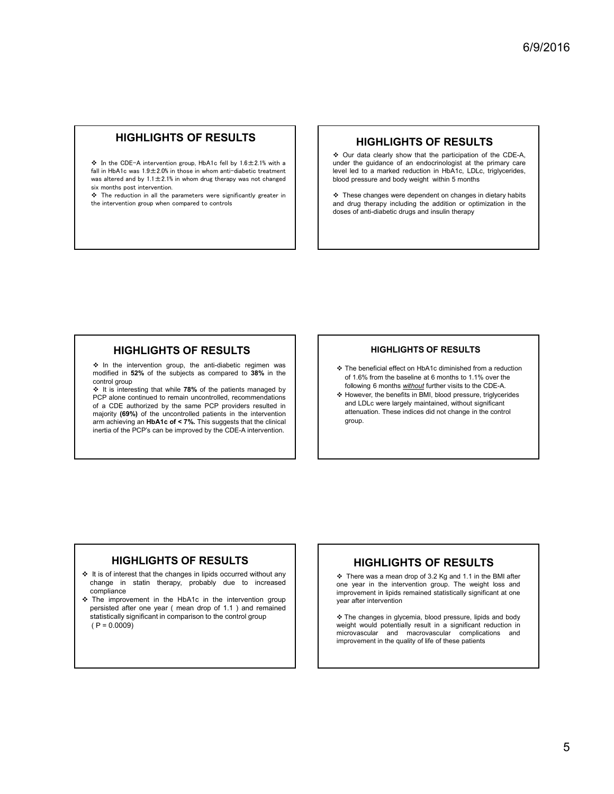# HIGHLIGHTS OF RESULTS

- **IN THE PRESULTS**<br>  $\begin{matrix}\n\bullet \\
\bullet \\
\bullet\n\end{matrix}$  In the CDE-A intervention group, HbA1c fell by 1.6±2.1% with a<br>
fell in HbA1c mea 1.0±2.0% in these in when extindicated to tractment FINCTILIGHT IS OF INLOCETS<br> $\therefore$  In the CDE-A intervention group, HbA1c fell by 1.6±2.1% with a<br>fall in HbA1c was 1.9±2.0% in those in whom anti-diabetic treatment<br>was although start is 1.1.1.2.1% in whom and the summatio ◆ In the CDE-A intervention group, HbA1c fell by 1.6±2.1% with a<br>fall in HbA1c was 1.9±2.0% in those in whom anti-diabetic treatment<br>was altered and by 1.1±2.1% in whom drug therapy was not changed<br>piv. matrix dot intern **S** In the CDE-A intervention<br>fall in HbA1c was  $1.9 \pm 2.0\%$  in t<br>was altered and by  $1.1 \pm 2.1\%$  in<br>six months post intervention. • In the CDE-A intervention group, HbA1c fell by 1.6±2.1% with a<br>
fall in HbA1c was 1.9±2.0% in those in whom anti-diabetic treatment<br>
six months post intervention.<br>
six months parameters were significantly greater in<br>
•
- the intervention group when compared to controls

## HIGHLIGHTS OF RESULTS

 $6/9/2016$ <br>  $\div$  Our data clearly show that the participation of the CDE-A,<br>  $\div$  Our data clearly show that the participation of the CDE-A,<br>  $\div$  Cher data clearly show that the participation of the CDE-A,<br>  $\div$  These ch **6/9/2016**<br>
• Our data clearly show that the participation of the CDE-A,<br>
ender the guidance of an endocrinologist at the primary care<br>
thevel led to a marked reduction in HbA1c, LDLc, triglycerides,<br>
blood pressure and b  $6/9/2016$ <br>
HIGHLIGHTS OF RESULTS<br>  $\div$  Our data clearly show that the participation of the CDE-A,<br>
under the guidance of an endocrinologist at the primary care<br>
level led to a marked reduction in HbA1c, LDLc, triglycerid **blood pressure and body weight with the participation** of the CDE-A,<br>  $\div$  Our data clearly show that the participation of the CDE-A,<br>
ander the guidance of an endocrinologist at the primary care<br>
blood pressure and body  $6/9/2016$ <br>  $\div$  Our data clearly show that the participation of the CDE-A,<br>  $\div$  Our data clearly show that the participation of the CDE-A,<br>
there immed the guidance of an endectinodicy at at the primary care<br>
level led  $6/9/2016$ <br>
and dread teachly show that the participation of the CDE-A,<br>  $\div$  Our data clearly show that the participation of the CDE-A,<br>
the primary care<br>
wevel led to a marked reduction in HbA1c, LDLc, trigly<br>  $\div$  Thes  $6/9/2016$ <br>
HIGHLIGHTS OF RESULTS<br>  $\div$  Our data clearly show that the participation of the CDE-A,<br>  $\div$  Our data clearly show that the participation of the CDE-A,<br>
there insuling care<br>
there is quided to a marked reducti

**HIGHLIGHTS OF RESULTS**<br>
A lot and the intervention group, the intervention group, the intervention group, the intervention group, the intervention group, the intervention group, the intervention group, the anti-diabetic **HIGHLIGHTS OF RESULTS**<br>
A let of CA intervention group is that is folly identified in the subjects as compared to the subjects as compared in the subjects as compared to the subjects as compared to 38% in the subjects as **HIGHLIGHTS OF RESULTS**<br>
A finite of DE-A intervention group. He At c fall by 1.8±21% with a<br>
a lat in HAA c was 19±20% in those in where ment-diabatic treatment<br>
and reduction in all the parameters were eigenfunctly grea **HIGHLIGHTS OF RESULTS**<br> **INGERIMENTS OF RESULTS**<br> **INSURFACTION CONTINUES (FOR THE SULTS OF THE SULTS OF THE SULTS CONTINUES)**<br> **INSURFACT A RESULTS**<br> **INSURFACT AND THE SULTS OF RESULTS**<br> **INSURFACT AND THE SULTS**<br> **INS PCP** alone continued to remain uncorrided, recommendations<br>
A Correction and the CDE-A in the CDE-A in the CDE-A in the CDE-A in the CDE-A in the CDE-A in the CDE-A in the continued to remain uncontrolled to recommendate A lots (DE-A helenomies of a CDEA) and the same PCP and the same PCP and the same providers in the same PCP and the same PCP and the same PCP and the same PCP and the same PCP and the same PCP and the same PCP and the sam **F** is the control product product in the control of the Confident of the Confident of the Uncontrolled patients in the uncontrolled patients in the uncontrolled patients in the uncontrolled patients in the uncontrolled Arm achievement of an expected by the state of the primes of an endocretic primes controlled and the primes controlled by the controlled by the controlled by the controlled by the controlled by the controlled by the contr in the Refer is the the most and the provide the can be intervention of the can be intervention in the third of the control of the control of the most intervention and by the most intervention. High can be intervention. Hi **HIGHLIGHTS OF RESULTS**<br>
The behavious of the substrated control and the changes in the changes in the changes in the changes in the changes in the changes in the changes of the changes in the changes in the changes in th **HIGHLIGHTS OF RESULTS**<br>
So the intervention group, the anti-district regiment was<br>
control group, the statistical of the change in the change in the baseline and find for the change in the change in the change of the sta HIGHLIGHTS OF RESULTS<br>
The intervention group, the entropying the state of the intervention and the intervention and the intervention<br>
containing the intervention group of the particular commentation<br>
containing the inter **•• HIGHLIGHTS OF RESULTS**<br> **••** the mean drop of the state of the state of the state of the state of the state of the state of the state of the state of the state of the state of the state of the state of the state of t statistically significant in comparison to the control group of the control group of the control group of the control group of the control group of the control group of the control group of the control group of the contro 4 In the intervention group. the anti-diabetic regiment was a mean to the presential effect on the booth proposed from the baseline at while 78% of the patients managed by<br>
on the subsets in the patients in the patients

### HIGHLIGHTS OF RESULTS

- The beneficial effect on HbA1c diminished from a reduction of 1.6% from the baseline at 6 months to 1.1% over the following 6 months without further visits to the CDE-A.
- However, the benefits in BMI, blood pressure, triglycerides and LDLc were largely maintained, without significant attenuation. These indices did not change in the control group. **HIGHLIGHTS OF RESULTS**<br>
SThe beneficial effect on HbA1c diminished from a reduction<br>
of 1.5% from the baseline at 6 months to 1.1% over the<br>
following 6 months <u>without</u> (turther visits to the CDE-A,<br>
exhore, the benefit **HIGHLIGHTS OF RESULTS**<br>
The beneficial effect on HbA1c diminished from a reduction<br>
of 1.6% from the baseline at 6 months to 1.1% over the<br>
6 However, the benefits in BMI, blood pressure, triglycerides<br>
and LDLc were lar improvement in the material of the material of the material of the material of the following 6 months *sulfungl* that the rooths to the CDE-A, collowing 6 months *sulfungl* that the visits to the CDE-A, collowing 6 month **HIGHLIGHTS OF RESULTS**<br>
The beneficial effect on HbA1c diminished from a reduction<br>
of 1.6% from the baseline at 6 months to 1.1% over the<br>
following 6 months withough turther visits to the CDE-A.<br>
A Howeven, the benefits **∻** The beneficial effect on HbA1c diminished from a reduction<br>of 1.5% from the baseline at 6 months to 1.1% over the<br>following 6 months <u>w/flood</u> pressure, inglycerides<br>\* However, the benefits in BMI, blood pressure, tri ↓ The beneficial effect on HbA1c diminished from a reduction<br>of 1.6% from the baseline at 6 months to 1.4% over the<br>of 1.6% from the significant reduction in BMI, blood pressure, trigly<br>certains and LDLc were largely main microwascular and macrowascular and macrowascular method of 1.5% from the baseline at 6 months to the CDE-A,<br>collowing 6 months and policy further visits to the CDE-A,<br>experience largely maintained, without significant<br>and is it for a norm the useanine at or monus to it. its over the control of local products and the control of presume, the benefits in BMI, blood pressure, they are different attenuation. These indices did not change in the c

# HIGHLIGHTS OF RESULTS

- compliance<br>❖ The improvement in the HbA1c in the intervention group
- 

# HIGHLIGHTS OF RESULTS